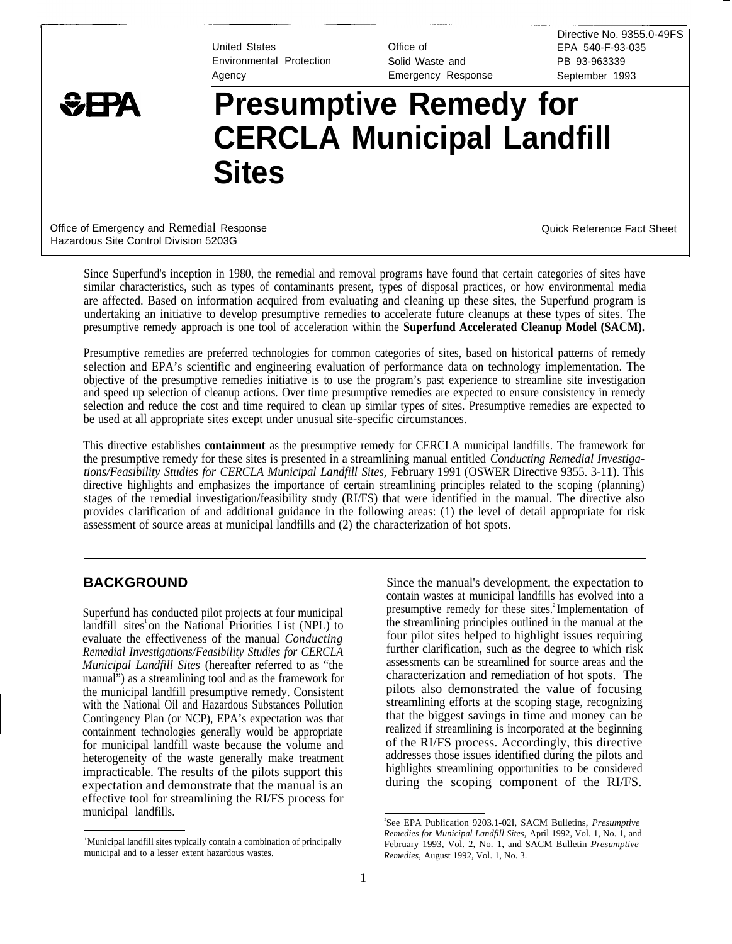Environmental Protection Solid Waste and PB 93-963339

United States **Contract Contract Contract Contract Contract Contract Contract Contract Contract Contract Contract Contract Contract Contract Contract Contract Contract Contract Contract Contract Contract Contract Contract** Agency Emergency Response September 1993

Directive No. 9355.0-49FS

# **\GHA** Presumptive Remedy for **CERCLA Municipal Landfill Sites**

Office of Emergency and Remedial Response Communication Control of Control Control Control Control Control Control Control Control Control Control Control Control Control Control Control Control Control Control Control Con Hazardous Site Control Division 5203G

Since Superfund's inception in 1980, the remedial and removal programs have found that certain categories of sites have similar characteristics, such as types of contaminants present, types of disposal practices, or how environmental media are affected. Based on information acquired from evaluating and cleaning up these sites, the Superfund program is undertaking an initiative to develop presumptive remedies to accelerate future cleanups at these types of sites. The presumptive remedy approach is one tool of acceleration within the **Superfund Accelerated Cleanup Model (SACM).**

Presumptive remedies are preferred technologies for common categories of sites, based on historical patterns of remedy selection and EPA's scientific and engineering evaluation of performance data on technology implementation. The objective of the presumptive remedies initiative is to use the program's past experience to streamline site investigation and speed up selection of cleanup actions. Over time presumptive remedies are expected to ensure consistency in remedy selection and reduce the cost and time required to clean up similar types of sites. Presumptive remedies are expected to be used at all appropriate sites except under unusual site-specific circumstances.

This directive establishes **containment** as the presumptive remedy for CERCLA municipal landfills. The framework for the presumptive remedy for these sites is presented in a streamlining manual entitled *Conducting Remedial Investigations/Feasibility Studies for CERCLA Municipal Landfill Sites,* February 1991 (OSWER Directive 9355. 3-11). This directive highlights and emphasizes the importance of certain streamlining principles related to the scoping (planning) stages of the remedial investigation/feasibility study (RI/FS) that were identified in the manual. The directive also provides clarification of and additional guidance in the following areas: (1) the level of detail appropriate for risk assessment of source areas at municipal landfills and (2) the characterization of hot spots.

# **BACKGROUND**

Superfund has conducted pilot projects at four municipal landfill sites<sup>1</sup> on the National Priorities List (NPL) to evaluate the effectiveness of the manual *Conducting Remedial Investigations/Feasibility Studies for CERCLA Municipal Landfill Sites* (hereafter referred to as "the manual") as a streamlining tool and as the framework for the municipal landfill presumptive remedy. Consistent with the National Oil and Hazardous Substances Pollution Contingency Plan (or NCP), EPA's expectation was that containment technologies generally would be appropriate for municipal landfill waste because the volume and heterogeneity of the waste generally make treatment impracticable. The results of the pilots support this expectation and demonstrate that the manual is an effective tool for streamlining the RI/FS process for municipal landfills.

Since the manual's development, the expectation to contain wastes at municipal landfills has evolved into a presumptive remedy for these sites.<sup>2</sup>Implementation of the streamlining principles outlined in the manual at the four pilot sites helped to highlight issues requiring further clarification, such as the degree to which risk assessments can be streamlined for source areas and the characterization and remediation of hot spots. The pilots also demonstrated the value of focusing streamlining efforts at the scoping stage, recognizing that the biggest savings in time and money can be realized if streamlining is incorporated at the beginning of the RI/FS process. Accordingly, this directive addresses those issues identified during the pilots and highlights streamlining opportunities to be considered during the scoping component of the RI/FS.

<sup>&</sup>lt;sup>1</sup>Municipal landfill sites typically contain a combination of principally municipal and to a lesser extent hazardous wastes.

<sup>2</sup> See EPA Publication 9203.1-02I, SACM Bulletins, *Presumptive Remedies for Municipal Landfill Sites,* April 1992, Vol. 1, No. 1, and February 1993, Vol. 2, No. 1, and SACM Bulletin *Presumptive Remedies,* August 1992, Vol. 1, No. 3.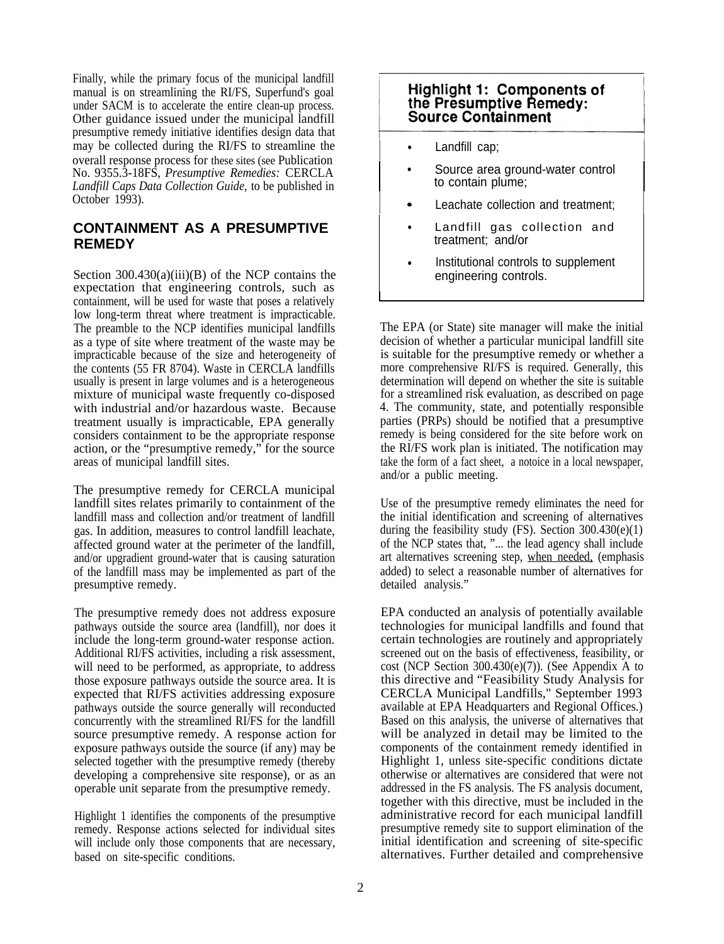Finally, while the primary focus of the municipal landfill manual is on streamlining the RI/FS, Superfund's goal under SACM is to accelerate the entire clean-up process. Other guidance issued under the municipal landfill presumptive remedy initiative identifies design data that may be collected during the RI/FS to streamline the overall response process for these sites (see Publication No. 9355.3-18FS, *Presumptive Remedies:* CERCLA *Landfill Caps Data Collection Guide,* to be published in October 1993).

# **CONTAINMENT AS A PRESUMPTIVE REMEDY**

Section  $300.430(a)(iii)(B)$  of the NCP contains the expectation that engineering controls, such as containment, will be used for waste that poses a relatively low long-term threat where treatment is impracticable. The preamble to the NCP identifies municipal landfills as a type of site where treatment of the waste may be impracticable because of the size and heterogeneity of the contents (55 FR 8704). Waste in CERCLA landfills usually is present in large volumes and is a heterogeneous mixture of municipal waste frequently co-disposed with industrial and/or hazardous waste. Because treatment usually is impracticable, EPA generally considers containment to be the appropriate response action, or the "presumptive remedy," for the source areas of municipal landfill sites.

The presumptive remedy for CERCLA municipal landfill sites relates primarily to containment of the landfill mass and collection and/or treatment of landfill gas. In addition, measures to control landfill leachate, affected ground water at the perimeter of the landfill, and/or upgradient ground-water that is causing saturation of the landfill mass may be implemented as part of the presumptive remedy.

The presumptive remedy does not address exposure pathways outside the source area (landfill), nor does it include the long-term ground-water response action. Additional RI/FS activities, including a risk assessment, will need to be performed, as appropriate, to address those exposure pathways outside the source area. It is expected that RI/FS activities addressing exposure pathways outside the source generally will reconducted concurrently with the streamlined RI/FS for the landfill source presumptive remedy. A response action for exposure pathways outside the source (if any) may be selected together with the presumptive remedy (thereby developing a comprehensive site response), or as an operable unit separate from the presumptive remedy.

Highlight 1 identifies the components of the presumptive remedy. Response actions selected for individual sites will include only those components that are necessary, based on site-specific conditions.

# **Highlight 1: Components of** the Presumptive Remedy: **Source Containment**

Landfill cap:

l.

I

Source area ground-water control to contain plume;

I

- Leachate collection and treatment:
- Landfill gas collection and treatment; and/or
- Institutional controls to supplement engineering controls.

The EPA (or State) site manager will make the initial decision of whether a particular municipal landfill site is suitable for the presumptive remedy or whether a more comprehensive RI/FS is required. Generally, this determination will depend on whether the site is suitable for a streamlined risk evaluation, as described on page 4. The community, state, and potentially responsible parties (PRPs) should be notified that a presumptive remedy is being considered for the site before work on the RI/FS work plan is initiated. The notification may take the form of a fact sheet, a notoice in a local newspaper, and/or a public meeting.

art alternatives screening step, when needed, (emphasis Use of the presumptive remedy eliminates the need for the initial identification and screening of alternatives during the feasibility study (FS). Section 300.430(e)(1) of the NCP states that, "... the lead agency shall include added) to select a reasonable number of alternatives for detailed analysis."

EPA conducted an analysis of potentially available technologies for municipal landfills and found that certain technologies are routinely and appropriately screened out on the basis of effectiveness, feasibility, or cost (NCP Section 300.430(e)(7)). (See Appendix A to this directive and "Feasibility Study Analysis for CERCLA Municipal Landfills," September 1993 available at EPA Headquarters and Regional Offices.) Based on this analysis, the universe of alternatives that will be analyzed in detail may be limited to the components of the containment remedy identified in Highlight 1, unless site-specific conditions dictate otherwise or alternatives are considered that were not addressed in the FS analysis. The FS analysis document, together with this directive, must be included in the administrative record for each municipal landfill presumptive remedy site to support elimination of the initial identification and screening of site-specific alternatives. Further detailed and comprehensive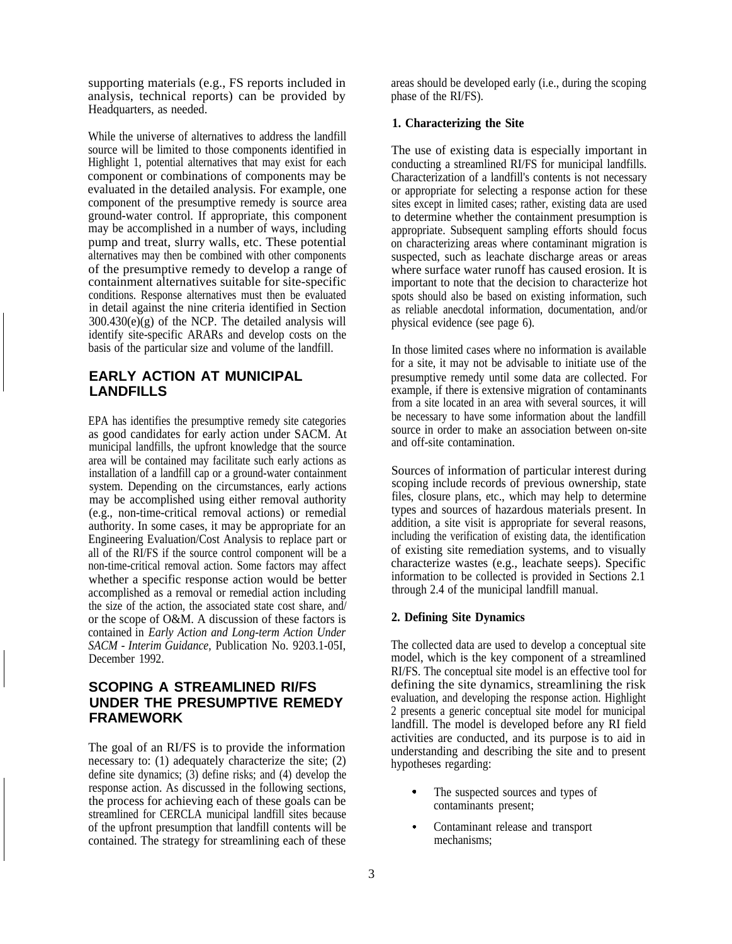supporting materials (e.g., FS reports included in analysis, technical reports) can be provided by Headquarters, as needed.

While the universe of alternatives to address the landfill source will be limited to those components identified in Highlight 1, potential alternatives that may exist for each component or combinations of components may be evaluated in the detailed analysis. For example, one component of the presumptive remedy is source area ground-water control. If appropriate, this component may be accomplished in a number of ways, including pump and treat, slurry walls, etc. These potential alternatives may then be combined with other components of the presumptive remedy to develop a range of containment alternatives suitable for site-specific conditions. Response alternatives must then be evaluated in detail against the nine criteria identified in Section  $300.430(e)(g)$  of the NCP. The detailed analysis will identify site-specific ARARs and develop costs on the basis of the particular size and volume of the landfill.

# **EARLY ACTION AT MUNICIPAL LANDFILLS**

EPA has identifies the presumptive remedy site categories as good candidates for early action under SACM. At municipal landfills, the upfront knowledge that the source area will be contained may facilitate such early actions as installation of a landfill cap or a ground-water containment system. Depending on the circumstances, early actions may be accomplished using either removal authority (e.g., non-time-critical removal actions) or remedial authority. In some cases, it may be appropriate for an Engineering Evaluation/Cost Analysis to replace part or all of the RI/FS if the source control component will be a non-time-critical removal action. Some factors may affect whether a specific response action would be better accomplished as a removal or remedial action including the size of the action, the associated state cost share, and/ or the scope of O&M. A discussion of these factors is contained in *Early Action and Long-term Action Under SACM - Interim Guidance,* Publication No. 9203.1-05I, December 1992.

# **SCOPING A STREAMLINED RI/FS UNDER THE PRESUMPTIVE REMEDY FRAMEWORK**

The goal of an RI/FS is to provide the information necessary to: (1) adequately characterize the site; (2) define site dynamics; (3) define risks; and (4) develop the response action. As discussed in the following sections, the process for achieving each of these goals can be streamlined for CERCLA municipal landfill sites because of the upfront presumption that landfill contents will be contained. The strategy for streamlining each of these

areas should be developed early (i.e., during the scoping phase of the RI/FS).

#### **1. Characterizing the Site**

The use of existing data is especially important in conducting a streamlined RI/FS for municipal landfills. Characterization of a landfill's contents is not necessary or appropriate for selecting a response action for these sites except in limited cases; rather, existing data are used to determine whether the containment presumption is appropriate. Subsequent sampling efforts should focus on characterizing areas where contaminant migration is suspected, such as leachate discharge areas or areas where surface water runoff has caused erosion. It is important to note that the decision to characterize hot spots should also be based on existing information, such as reliable anecdotal information, documentation, and/or physical evidence (see page 6).

In those limited cases where no information is available for a site, it may not be advisable to initiate use of the presumptive remedy until some data are collected. For example, if there is extensive migration of contaminants from a site located in an area with several sources, it will be necessary to have some information about the landfill source in order to make an association between on-site and off-site contamination.

Sources of information of particular interest during scoping include records of previous ownership, state files, closure plans, etc., which may help to determine types and sources of hazardous materials present. In addition, a site visit is appropriate for several reasons, including the verification of existing data, the identification of existing site remediation systems, and to visually characterize wastes (e.g., leachate seeps). Specific information to be collected is provided in Sections 2.1 through 2.4 of the municipal landfill manual.

#### **2. Defining Site Dynamics**

The collected data are used to develop a conceptual site model, which is the key component of a streamlined RI/FS. The conceptual site model is an effective tool for defining the site dynamics, streamlining the risk evaluation, and developing the response action. Highlight 2 presents a generic conceptual site model for municipal landfill. The model is developed before any RI field activities are conducted, and its purpose is to aid in understanding and describing the site and to present hypotheses regarding:

- . The suspected sources and types of contaminants present;
- . Contaminant release and transport mechanisms;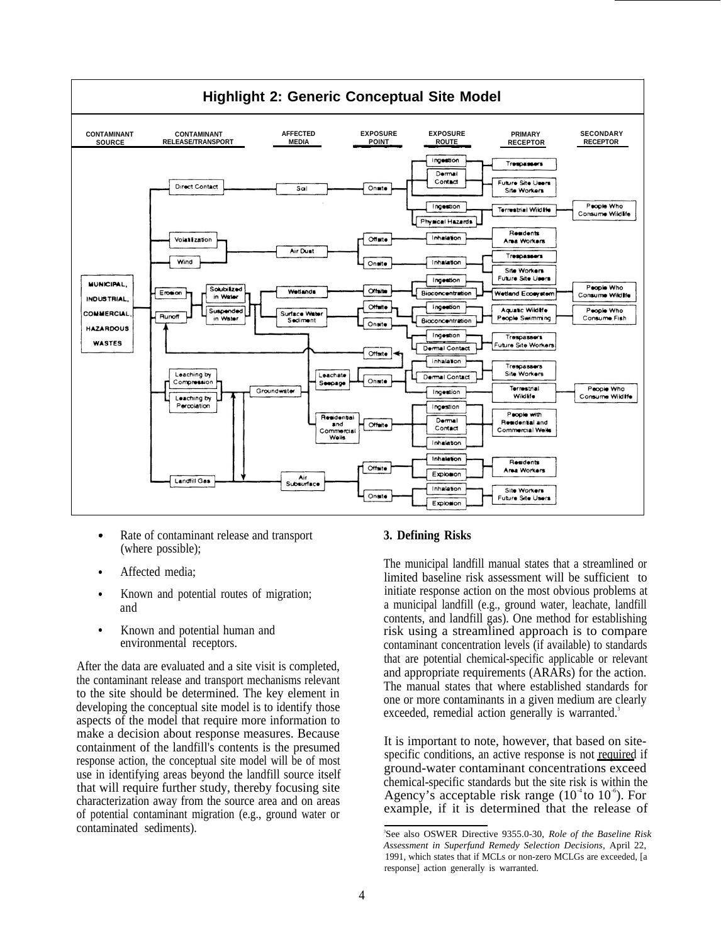

- . Rate of contaminant release and transport **3. Defining Risks** (where possible);
- ●
- Known and potential routes of migration; and
- Known and potential human and environmental receptors.

After the data are evaluated and a site visit is completed, the contaminant release and transport mechanisms relevant to the site should be determined. The key element in developing the conceptual site model is to identify those aspects of the model that require more information to make a decision about response measures. Because containment of the landfill's contents is the presumed<br>containment of the landfill's contents is the presumed<br>specific conditions, an active response is not required if response action, the conceptual site model will be of most specific conditions, an active response is not required if use in identifying areas beyond the landfill source itself ground-water contaminant concentrations exceed<br>that will genuine further attack there by foresing site that will require further study, thereby focusing site chemical-specific standards but the site risk is within the chemical-specific standards but the site risk is within the chemical-specific standards but the site risk characterization away from the source area and on areas example, if it is determined that the release of example. of potential contaminant migration (e.g., ground water or contaminated sediments).

Affected media;<br>
Affected media;<br>
The municipal landfill manual states that a streamlined or limited baseline risk assessment will be sufficient to initiate response action on the most obvious problems at a municipal landfill (e.g., ground water, leachate, landfill contents, and landfill gas). One method for establishing risk using a streamlined approach is to compare contaminant concentration levels (if available) to standards that are potential chemical-specific applicable or relevant and appropriate requirements (ARARs) for the action. The manual states that where established standards for one or more contaminants in a given medium are clearly exceeded, remedial action generally is warranted.<sup>3</sup>

See also OSWER Directive 9355.0-30, *Role of the Baseline Risk Assessment in Superfund Remedy Selection Decisions,* April 22, 1991, which states that if MCLs or non-zero MCLGs are exceeded, [a response] action generally is warranted.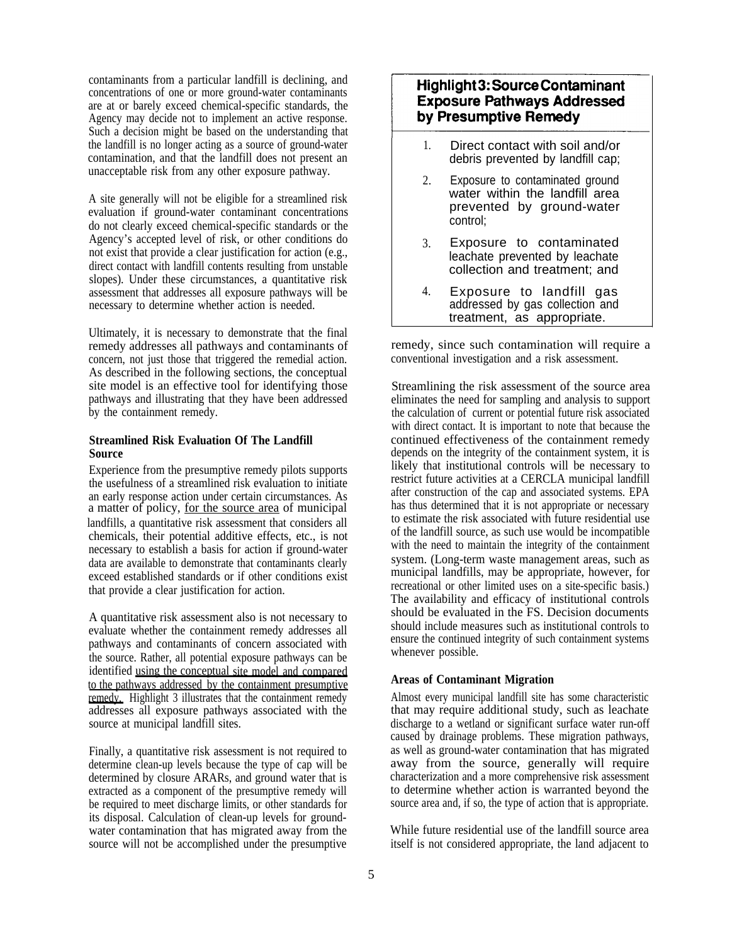contaminants from a particular landfill is declining, and concentrations of one or more ground-water contaminants are at or barely exceed chemical-specific standards, the Agency may decide not to implement an active response. Such a decision might be based on the understanding that the landfill is no longer acting as a source of ground-water contamination, and that the landfill does not present an unacceptable risk from any other exposure pathway.

A site generally will not be eligible for a streamlined risk evaluation if ground-water contaminant concentrations do not clearly exceed chemical-specific standards or the Agency's accepted level of risk, or other conditions do not exist that provide a clear justification for action (e.g., direct contact with landfill contents resulting from unstable slopes). Under these circumstances, a quantitative risk assessment that addresses all exposure pathways will be necessary to determine whether action is needed.

Ultimately, it is necessary to demonstrate that the final remedy addresses all pathways and contaminants of concern, not just those that triggered the remedial action. As described in the following sections, the conceptual site model is an effective tool for identifying those pathways and illustrating that they have been addressed by the containment remedy.

#### **Streamlined Risk Evaluation Of The Landfill Source**

Experience from the presumptive remedy pilots supports the usefulness of a streamlined risk evaluation to initiate an early response action under certain circumstances. As chemicals, their potential additive effects, etc., is not necessary to establish a basis for action if ground-water data are available to demonstrate that contaminants clearly exceed established standards or if other conditions exist that provide a clear justification for action. a matter of policy, for the source area of municipal landfills, a quantitative risk assessment that considers all

A quantitative risk assessment also is not necessary to evaluate whether the containment remedy addresses all pathways and contaminants of concern associated with the source. Rather, all potential exposure pathways can be identified using the conceptual site model and compared to the pathways addressed by the containment presumptive remedy. Highlight 3 illustrates that the containment remedy addresses all exposure pathways associated with the source at municipal landfill sites.

Finally, a quantitative risk assessment is not required to determine clean-up levels because the type of cap will be determined by closure ARARs, and ground water that is extracted as a component of the presumptive remedy will be required to meet discharge limits, or other standards for its disposal. Calculation of clean-up levels for groundwater contamination that has migrated away from the source will not be accomplished under the presumptive

# **Highlight 3: Source Contaminant Exposure Pathways Addressed** by Presumptive Remedy

- 1. Direct contact with soil and/or debris prevented by landfill cap;
- $2^{\circ}$ Exposure to contaminated ground water within the landfill area prevented by ground-water control;
- 3. Exposure to contaminated leachate prevented by leachate collection and treatment; and
- 4. Exposure to landfill gas addressed by gas collection and treatment, as appropriate.

remedy, since such contamination will require a conventional investigation and a risk assessment.

Streamlining the risk assessment of the source area eliminates the need for sampling and analysis to support the calculation of current or potential future risk associated with direct contact. It is important to note that because the continued effectiveness of the containment remedy depends on the integrity of the containment system, it is likely that institutional controls will be necessary to restrict future activities at a CERCLA municipal landfill after construction of the cap and associated systems. EPA has thus determined that it is not appropriate or necessary to estimate the risk associated with future residential use of the landfill source, as such use would be incompatible with the need to maintain the integrity of the containment system. (Long-term waste management areas, such as municipal landfills, may be appropriate, however, for recreational or other limited uses on a site-specific basis.) The availability and efficacy of institutional controls should be evaluated in the FS. Decision documents should include measures such as institutional controls to ensure the continued integrity of such containment systems whenever possible.

### **Areas of Contaminant Migration**

Almost every municipal landfill site has some characteristic that may require additional study, such as leachate discharge to a wetland or significant surface water run-off caused by drainage problems. These migration pathways, as well as ground-water contamination that has migrated away from the source, generally will require characterization and a more comprehensive risk assessment to determine whether action is warranted beyond the source area and, if so, the type of action that is appropriate.

While future residential use of the landfill source area itself is not considered appropriate, the land adjacent to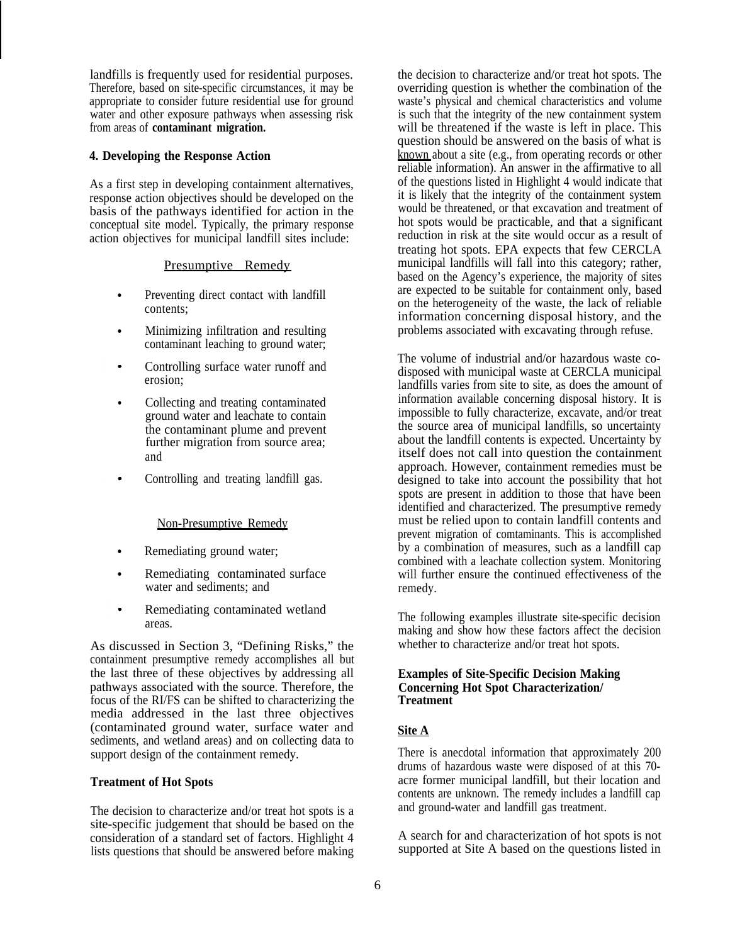landfills is frequently used for residential purposes. Therefore, based on site-specific circumstances, it may be appropriate to consider future residential use for ground water and other exposure pathways when assessing risk from areas of **contaminant migration.**

#### **4. Developing the Response Action**

As a first step in developing containment alternatives, response action objectives should be developed on the basis of the pathways identified for action in the conceptual site model. Typically, the primary response action objectives for municipal landfill sites include:

#### Presumptive Remedy

- Preventing direct contact with landfill contents;
- Minimizing infiltration and resulting contaminant leaching to ground water;
- . Controlling surface water runoff and erosion;
- Collecting and treating contaminated ground water and leachate to contain the contaminant plume and prevent further migration from source area; and
- . Controlling and treating landfill gas.

#### Non-Presumptive Remedy

- Remediating ground water;
- Remediating contaminated surface water and sediments; and
- . Remediating contaminated wetland areas.

As discussed in Section 3, "Defining Risks," the containment presumptive remedy accomplishes all but the last three of these objectives by addressing all pathways associated with the source. Therefore, the focus of the RI/FS can be shifted to characterizing the media addressed in the last three objectives (contaminated ground water, surface water and sediments, and wetland areas) and on collecting data to support design of the containment remedy.

#### **Treatment of Hot Spots**

The decision to characterize and/or treat hot spots is a site-specific judgement that should be based on the consideration of a standard set of factors. Highlight 4 lists questions that should be answered before making

the decision to characterize and/or treat hot spots. The overriding question is whether the combination of the waste's physical and chemical characteristics and volume is such that the integrity of the new containment system will be threatened if the waste is left in place. This question should be answered on the basis of what is known about a site (e.g., from operating records or other reliable information). An answer in the affirmative to all of the questions listed in Highlight 4 would indicate that it is likely that the integrity of the containment system would be threatened, or that excavation and treatment of hot spots would be practicable, and that a significant reduction in risk at the site would occur as a result of treating hot spots. EPA expects that few CERCLA municipal landfills will fall into this category; rather, based on the Agency's experience, the majority of sites are expected to be suitable for containment only, based on the heterogeneity of the waste, the lack of reliable information concerning disposal history, and the problems associated with excavating through refuse.

The volume of industrial and/or hazardous waste codisposed with municipal waste at CERCLA municipal landfills varies from site to site, as does the amount of information available concerning disposal history. It is impossible to fully characterize, excavate, and/or treat the source area of municipal landfills, so uncertainty about the landfill contents is expected. Uncertainty by itself does not call into question the containment approach. However, containment remedies must be designed to take into account the possibility that hot spots are present in addition to those that have been identified and characterized. The presumptive remedy must be relied upon to contain landfill contents and prevent migration of comtaminants. This is accomplished by a combination of measures, such as a landfill cap combined with a leachate collection system. Monitoring will further ensure the continued effectiveness of the remedy.

The following examples illustrate site-specific decision making and show how these factors affect the decision whether to characterize and/or treat hot spots.

#### **Examples of Site-Specific Decision Making Concerning Hot Spot Characterization/ Treatment**

#### **Site A**

There is anecdotal information that approximately 200 drums of hazardous waste were disposed of at this 70 acre former municipal landfill, but their location and contents are unknown. The remedy includes a landfill cap and ground-water and landfill gas treatment.

A search for and characterization of hot spots is not supported at Site A based on the questions listed in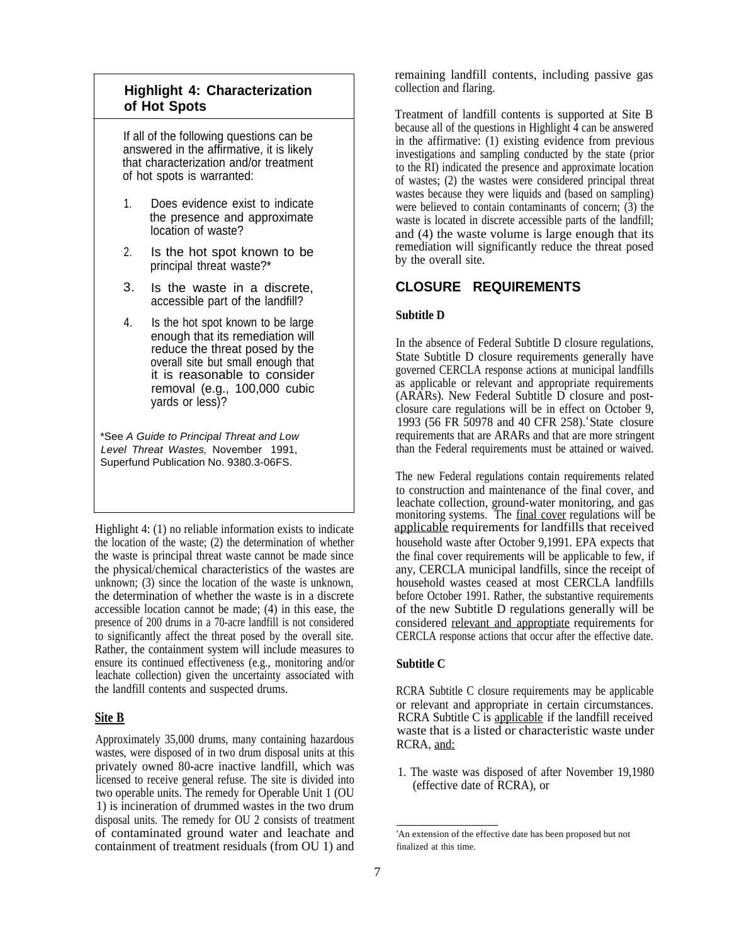# **Highlight 4: Characterization of Hot Spots**

If all of the following questions can be answered in the affirmative, it is likely that characterization and/or treatment of hot spots is warranted:

- 1. Does evidence exist to indicate the presence and approximate location of waste?
- 2. Is the hot spot known to be principal threat waste?\*
- Is the waste in a discrete, accessible part of the landfill? 3.
- 4. Is the hot spot known to be large enough that its remediation will reduce the threat posed by the overall site but small enough that it is reasonable to consider removal (e.g., 100,000 cubic yards or less)?

\*See A Guide to Principal Threat and Low Level Threat Wastes, November 1991, Superfund Publication No. 9380.3-06FS.

Highlight 4: (1) no reliable information exists to indicate the location of the waste; (2) the determination of whether the waste is principal threat waste cannot be made since the physical/chemical characteristics of the wastes are unknown; (3) since the location of the waste is unknown, the determination of whether the waste is in a discrete accessible location cannot be made; (4) in this ease, the presence of 200 drums in a 70-acre landfill is not considered to significantly affect the threat posed by the overall site. Rather, the containment system will include measures to ensure its continued effectiveness (e.g., monitoring and/or leachate collection) given the uncertainty associated with the landfill contents and suspected drums.

Approximately 35,000 drums, many containing hazardous wastes, were disposed of in two drum disposal units at this privately owned 80-acre inactive landfill, which was licensed to receive general refuse. The site is divided into two operable units. The remedy for Operable Unit 1 (OU 1) is incineration of drummed wastes in the two drum disposal units. The remedy for OU 2 consists of treatment of contaminated ground water and leachate and containment of treatment residuals (from OU 1) and

remaining landfill contents, including passive gas collection and flaring.

Treatment of landfill contents is supported at Site B because all of the questions in Highlight 4 can be answered in the affirmative: (1) existing evidence from previous investigations and sampling conducted by the state (prior to the RI) indicated the presence and approximate location of wastes; (2) the wastes were considered principal threat wastes because they were liquids and (based on sampling) were believed to contain contaminants of concern; (3) the waste is located in discrete accessible parts of the landfill; and (4) the waste volume is large enough that its remediation will significantly reduce the threat posed by the overall site.

# **CLOSURE REQUIREMENTS**

#### **Subtitle D**

In the absence of Federal Subtitle D closure regulations, State Subtitle D closure requirements generally have governed CERCLA response actions at municipal landfills as applicable or relevant and appropriate requirements (ARARs). New Federal Subtitle D closure and postclosure care regulations will be in effect on October 9, 1993 (56 FR 50978 and 40 CFR 258).<sup>4</sup> State closure requirements that are ARARs and that are more stringent than the Federal requirements must be attained or waived.

applicable requirements for landfills that received monitoring systems. The final cover regulations will be The new Federal regulations contain requirements related to construction and maintenance of the final cover, and leachate collection, ground-water monitoring, and gas household waste after October 9,1991. EPA expects that the final cover requirements will be applicable to few, if any, CERCLA municipal landfills, since the receipt of household wastes ceased at most CERCLA landfills before October 1991. Rather, the substantive requirements of the new Subtitle D regulations generally will be considered relevant and approptiate requirements for CERCLA response actions that occur after the effective date.

### **Subtitle C**

**Site B** RCRA Subtitle C is applicable if the landfill received RCRA Subtitle C closure requirements may be applicable or relevant and appropriate in certain circumstances. waste that is a listed or characteristic waste under RCRA, and:

> 1. The waste was disposed of after November 19,1980 (effective date of RCRA), or

<sup>4</sup>An extension of the effective date has been proposed but not finalized at this time.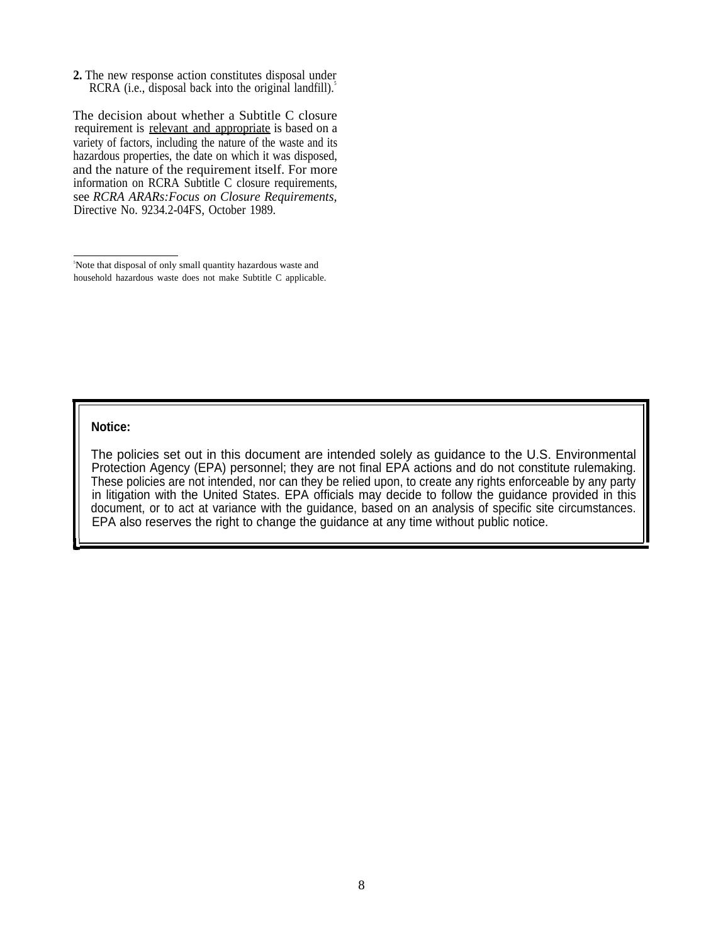**2.** The new response action constitutes disposal under RCRA (i.e., disposal back into the original landfill). $\delta$ 

requirement is relevant and appropriate is based on a The decision about whether a Subtitle C closure variety of factors, including the nature of the waste and its hazardous properties, the date on which it was disposed, and the nature of the requirement itself. For more information on RCRA Subtitle C closure requirements, see *RCRA ARARs:Focus on Closure Requirements,* Directive No. 9234.2-04FS, October 1989.

<sup>5</sup>Note that disposal of only small quantity hazardous waste and household hazardous waste does not make Subtitle C applicable.

#### **Notice:**

The policies set out in this document are intended solely as guidance to the U.S. Environmental Protection Agency (EPA) personnel; they are not final EPA actions and do not constitute rulemaking. These policies are not intended, nor can they be relied upon, to create any rights enforceable by any party in litigation with the United States. EPA officials may decide to follow the guidance provided in this document, or to act at variance with the guidance, based on an analysis of specific site circumstances. EPA also reserves the right to change the guidance at any time without public notice.

**;' <sup>I</sup>**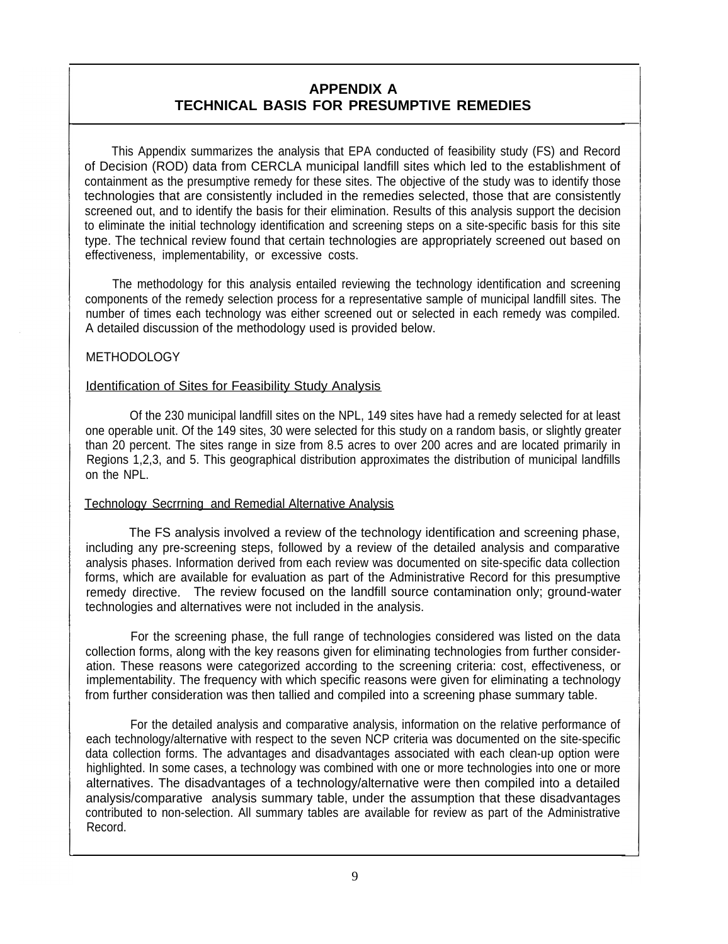# **APPENDIX A TECHNICAL BASIS FOR PRESUMPTIVE REMEDIES**

This Appendix summarizes the analysis that EPA conducted of feasibility study (FS) and Record of Decision (ROD) data from CERCLA municipal landfill sites which led to the establishment of containment as the presumptive remedy for these sites. The objective of the study was to identify those technologies that are consistently included in the remedies selected, those that are consistently screened out, and to identify the basis for their elimination. Results of this analysis support the decision to eliminate the initial technology identification and screening steps on a site-specific basis for this site type. The technical review found that certain technologies are appropriately screened out based on effectiveness, implementability, or excessive costs.

The methodology for this analysis entailed reviewing the technology identification and screening components of the remedy selection process for a representative sample of municipal landfill sites. The number of times each technology was either screened out or selected in each remedy was compiled. A detailed discussion of the methodology used is provided below.

# METHODOLOGY

# Identification of Sites for Feasibility Study Analysis

Of the 230 municipal landfill sites on the NPL, 149 sites have had a remedy selected for at least one operable unit. Of the 149 sites, 30 were selected for this study on a random basis, or slightly greater than 20 percent. The sites range in size from 8.5 acres to over 200 acres and are located primarily in Regions 1,2,3, and 5. This geographical distribution approximates the distribution of municipal landfills on the NPL.

# Technology Secrrning and Remedial Alternative Analysis

The FS analysis involved a review of the technology identification and screening phase, including any pre-screening steps, followed by a review of the detailed analysis and comparative analysis phases. Information derived from each review was documented on site-specific data collection forms, which are available for evaluation as part of the Administrative Record for this presumptive remedy directive. The review focused on the landfill source contamination only; ground-water technologies and alternatives were not included in the analysis.

For the screening phase, the full range of technologies considered was listed on the data collection forms, along with the key reasons given for eliminating technologies from further consideration. These reasons were categorized according to the screening criteria: cost, effectiveness, or implementability. The frequency with which specific reasons were given for eliminating a technology from further consideration was then tallied and compiled into a screening phase summary table.

For the detailed analysis and comparative analysis, information on the relative performance of each technology/alternative with respect to the seven NCP criteria was documented on the site-specific data collection forms. The advantages and disadvantages associated with each clean-up option were highlighted. In some cases, a technology was combined with one or more technologies into one or more alternatives. The disadvantages of a technology/alternative were then compiled into a detailed analysis/comparative analysis summary table, under the assumption that these disadvantages contributed to non-selection. All summary tables are available for review as part of the Administrative Record.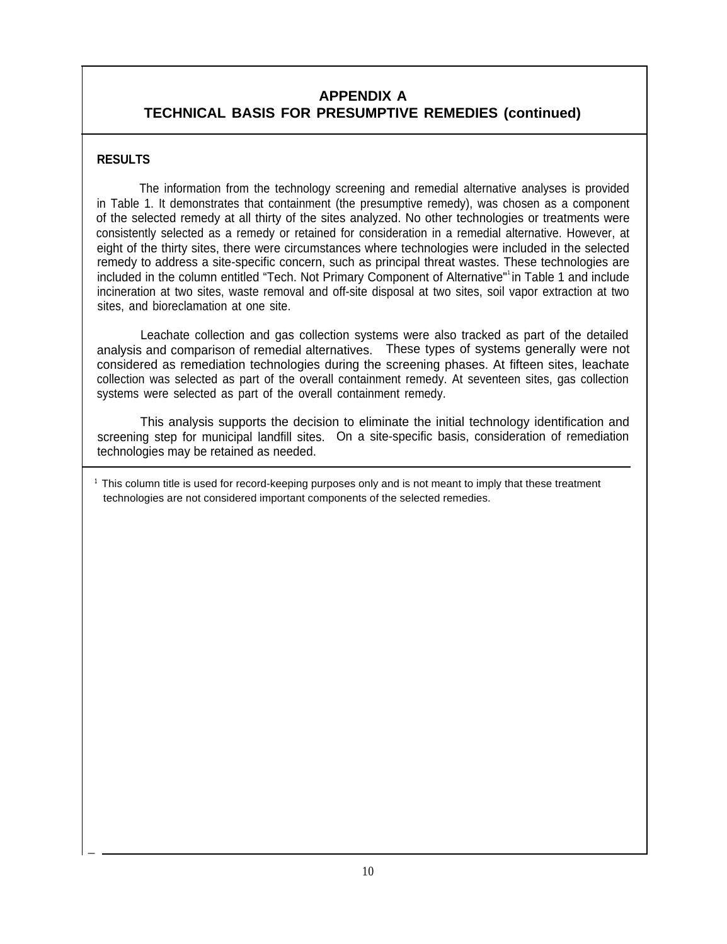# **APPENDIX A TECHNICAL BASIS FOR PRESUMPTIVE REMEDIES (continued)**

# **RESULTS**

**—**

The information from the technology screening and remedial alternative analyses is provided in Table 1. It demonstrates that containment (the presumptive remedy), was chosen as a component of the selected remedy at all thirty of the sites analyzed. No other technologies or treatments were consistently selected as a remedy or retained for consideration in a remedial alternative. However, at eight of the thirty sites, there were circumstances where technologies were included in the selected remedy to address a site-specific concern, such as principal threat wastes. These technologies are included in the column entitled "Tech. Not Primary Component of Alternative" in Table 1 and include incineration at two sites, waste removal and off-site disposal at two sites, soil vapor extraction at two sites, and bioreclamation at one site.

Leachate collection and gas collection systems were also tracked as part of the detailed analysis and comparison of remedial alternatives. These types of systems generally were not considered as remediation technologies during the screening phases. At fifteen sites, leachate collection was selected as part of the overall containment remedy. At seventeen sites, gas collection systems were selected as part of the overall containment remedy.

This analysis supports the decision to eliminate the initial technology identification and screening step for municipal landfill sites. On a site-specific basis, consideration of remediation technologies may be retained as needed.

**1** This column title is used for record-keeping purposes only and is not meant to imply that these treatment technologies are not considered important components of the selected remedies.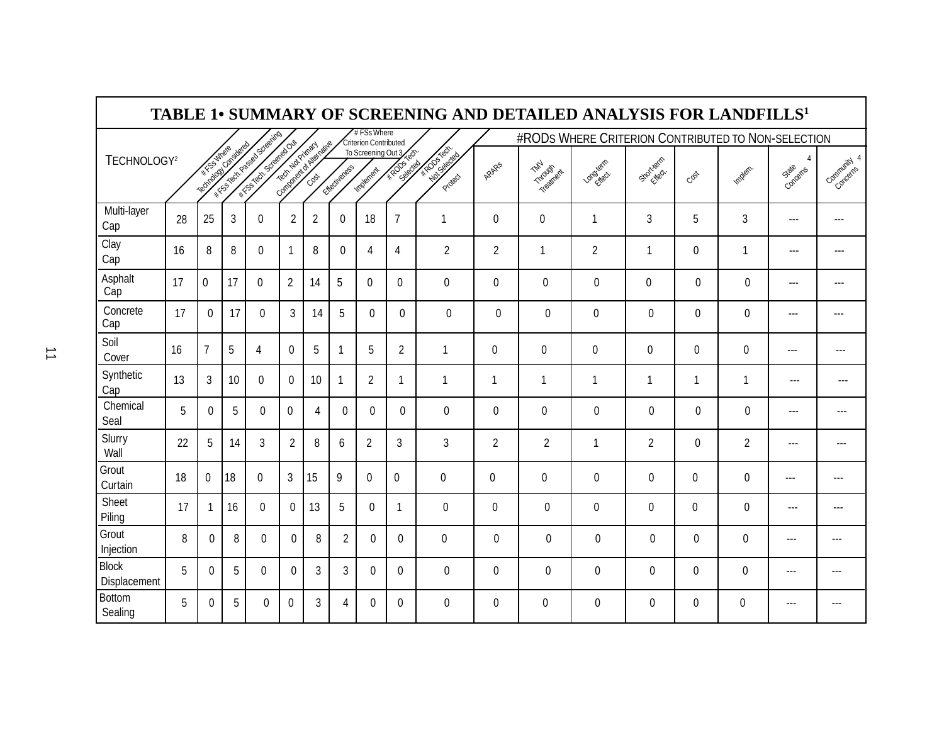|                              |    |                      |              |                                                              |                |                               |                |                                    |                                            | TABLE 1• SUMMARY OF SCREENING AND DETAILED ANALYSIS FOR LANDFILLS <sup>1</sup> |                |                |                                                    |                |              |                 |                   |               |
|------------------------------|----|----------------------|--------------|--------------------------------------------------------------|----------------|-------------------------------|----------------|------------------------------------|--------------------------------------------|--------------------------------------------------------------------------------|----------------|----------------|----------------------------------------------------|----------------|--------------|-----------------|-------------------|---------------|
|                              |    |                      |              |                                                              |                |                               |                | #FSsWhere<br>Criterion Contributed |                                            |                                                                                |                |                | #RODS WHERE CRITERION CONTRIBUTED TO NON-SELECTION |                |              |                 |                   |               |
| TECHNOLOGY <sup>2</sup>      |    | Tachton Constantinop |              | IN TOO POOL OF BOOM ASSAULTS<br><b>ANTIFICATION SCIENCES</b> |                | Company of Children of Bridge | Ettectiverees  | Implement                          | To Screening Out 3<br>** RODS!<br>Selected | ARCANON<br>Protect                                                             | ARARS          | Triodiner      | Lordziects                                         | Stortiers 1    | Cost         | <b>Implain.</b> | 4<br>Concerns     | Connunction 4 |
| Multi-layer<br>Cap           | 28 | 25                   | $\mathbf{3}$ | $\mathbf 0$                                                  | $\overline{2}$ | $\overline{2}$                | $\mathbf 0$    | 18                                 | $\overline{7}$                             | $\overline{1}$                                                                 | $\Omega$       | $\mathbf 0$    | 1                                                  | 3              | 5            | 3               | $--$              | ---           |
| Clay<br>Cap                  | 16 | 8                    | 8            | $\Omega$                                                     | $\mathbf{1}$   | 8                             | $\Omega$       | 4                                  | 4                                          | $\overline{2}$                                                                 | 2              | 1              | $\overline{2}$                                     | $\overline{1}$ | $\Omega$     | $\overline{1}$  | $---$             |               |
| Asphalt<br>Cap               | 17 | $\mathbf 0$          | 17           | $\mathbf 0$                                                  | $\overline{2}$ | 14                            | 5              | 0                                  | $\mathbf{0}$                               | 0                                                                              | $\pmb{0}$      | $\mathbf 0$    | $\mathbf 0$                                        | $\pmb{0}$      | $\mathbf 0$  | $\mathbf 0$     | $\cdots$          | ---           |
| Concrete<br>Cap              | 17 | $\Omega$             | 17           | $\mathbf 0$                                                  | $\mathfrak{Z}$ | 14                            | 5              | $\Omega$                           | $\Omega$                                   | $\mathbf 0$                                                                    | $\mathbf 0$    | $\mathbf 0$    | $\pmb{0}$                                          | $\pmb{0}$      | $\Omega$     | $\mathbf 0$     | $---$             | ---           |
| Soil<br>Cover                | 16 | $\overline{7}$       | 5            | 4                                                            | $\mathbf 0$    | 5                             | 1              | 5                                  | $\overline{2}$                             | 1                                                                              | 0              | $\mathbf 0$    | 0                                                  | 0              | $\mathbf 0$  | $\mathbf 0$     | ---               | ---           |
| Synthetic<br>Cap             | 13 | 3                    | 10           | $\mathbf{0}$                                                 | $\mathbf{0}$   | 10                            | 1              | $\overline{2}$                     | 1                                          | 1                                                                              | 1              | $\mathbf{1}$   | 1                                                  | $\mathbf{1}$   | 1            | 1               | ---               | ---           |
| Chemical<br>Seal             | 5  | $\Omega$             | 5            | $\mathbf{0}$                                                 | $\mathbf 0$    | 4                             | $\mathbf{0}$   | 0                                  | $\Omega$                                   | 0                                                                              | $\mathbf{0}$   | 0              | 0                                                  | $\mathbf 0$    | $\Omega$     | $\mathbf{0}$    | $- - -$           | ---           |
| Slurry<br>Wall               | 22 | 5                    | 14           | 3                                                            | $\overline{2}$ | 8                             | $6\phantom{.}$ | $\overline{2}$                     | 3                                          | $\mathbf{3}$                                                                   | $\overline{2}$ | $\overline{2}$ | $\mathbf{1}$                                       | $\overline{2}$ | $\Omega$     | $\overline{2}$  | ---               |               |
| Grout<br>Curtain             | 18 | $\Omega$             | 18           | $\mathbf{0}$                                                 | $\mathfrak{S}$ | 15                            | 9              | $\Omega$                           | $\mathbf{0}$                               | $\mathbf{0}$                                                                   | $\mathbf{0}$   | 0              | 0                                                  | $\mathbf{0}$   | $\Omega$     | $\mathbf{0}$    | ---               | ---           |
| Sheet<br>Piling              | 17 |                      | 16           | $\mathbf{0}$                                                 | $\mathbf{0}$   | 13                            | 5              | $\mathbf{0}$                       | 1                                          | $\mathbf{0}$                                                                   | $\mathbf{0}$   | $\mathbf 0$    | 0                                                  | 0              | $\mathbf{0}$ | 0               | $---$             |               |
| Grout<br>Injection           | 8  | $\Omega$             | 8            | $\Omega$                                                     | $\Omega$       | 8                             | $\overline{2}$ | $\mathbf{0}$                       | $\Omega$                                   | $\Omega$                                                                       | $\Omega$       | $\mathbf{0}$   | 0                                                  | $\mathbf 0$    | $\Omega$     | $\Omega$        | $\qquad \qquad -$ |               |
| <b>Block</b><br>Displacement | 5  | $\Omega$             | 5            | $\Omega$                                                     | $\Omega$       | 3                             | 3              | $\Omega$                           | $\Omega$                                   | $\Omega$                                                                       | $\Omega$       | $\Omega$       | 0                                                  | $\mathbf{0}$   | $\Omega$     | $\mathbf{0}$    | $---$             |               |
| <b>Bottom</b><br>Sealing     | 5  | 0                    | 5            | 0                                                            | $\mathbf{0}$   | 3                             | 4              | 0                                  | $\mathbf{0}$                               | $\mathbf{0}$                                                                   | $\mathbf{0}$   | 0              | 0                                                  | $\mathbf{0}$   | $\Omega$     | 0               | ---               |               |

 $\mathbf{r}$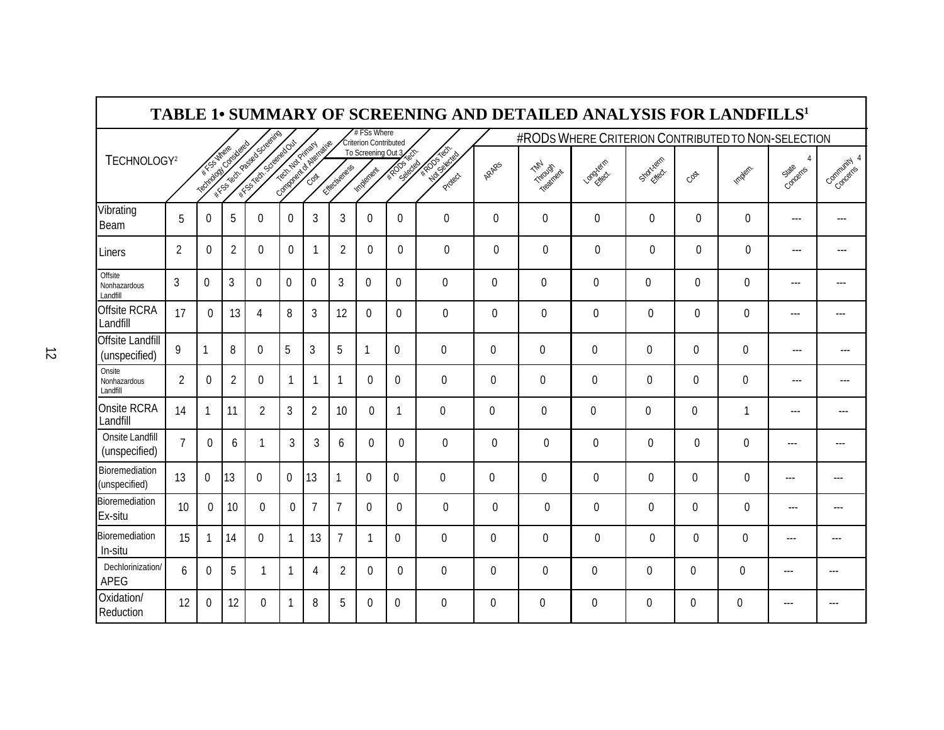|                                            |                |                         |                |                                             |                |                           |                |                                      |                                                 | <b>TABLE 1• SUMMARY OF SCREENING AND DETAILED ANALYSIS FOR LANDFILLS<sup>1</sup></b> |                  |                  |                                                    |                  |              |                |                |                |
|--------------------------------------------|----------------|-------------------------|----------------|---------------------------------------------|----------------|---------------------------|----------------|--------------------------------------|-------------------------------------------------|--------------------------------------------------------------------------------------|------------------|------------------|----------------------------------------------------|------------------|--------------|----------------|----------------|----------------|
|                                            |                |                         |                |                                             |                |                           |                | # FSs Where<br>Criterion Contributed |                                                 |                                                                                      |                  |                  | #RODS WHERE CRITERION CONTRIBUTED TO NON-SELECTION |                  |              |                |                |                |
| TECHNOLOGY <sup>2</sup>                    |                | Total Marian Contractor |                | I TON DOOR DESCRIPTION<br>FIFTH SCREEPED ON |                | Company of the Metabolise | Friedrightes   | Implement                            | To Screening Out 3<br><b>4/RODS</b><br>Saledday | <b>ARDSHALL</b><br>Protect                                                           | ARARS            | Tripodich        | Lagylata                                           | Statistics.      | CBS          | <b>Implan.</b> | 4<br>Concents  | Community 4    |
| Vibrating<br>Beam                          | 5              | $\Omega$                | 5              | $\mathbf{0}$                                | $\mathbf{0}$   | 3                         | 3              | $\Omega$                             | $\mathbf{0}$                                    | 0                                                                                    | $\Omega$         | $\mathbf{0}$     | $\mathbf{0}$                                       | $\mathbf{0}$     | $\Omega$     | $\Omega$       | $---$          | $---$          |
| Liners                                     | $\overline{2}$ | $\Omega$                | $\overline{2}$ | $\Omega$                                    | $\mathbf{0}$   | -1                        | $\overline{2}$ | $\Omega$                             | $\Omega$                                        | $\Omega$                                                                             | $\Omega$         | $\Omega$         | 0                                                  | $\Omega$         | $\Omega$     | $\Omega$       | $\overline{a}$ | ---            |
| Offsite<br><b>Nonhazardous</b><br>Landfill | $\overline{3}$ | 0                       | $\overline{3}$ | 0                                           | $\overline{0}$ | $\mathbf 0$               | 3              | $\mathbf 0$                          | $\mathbf{0}$                                    | $\mathbf 0$                                                                          | $\mathbf{0}$     | $\mathbf 0$      | $\mathbf 0$                                        | $\mathbf 0$      | $\mathbf 0$  | $\mathbf 0$    | $---$          | $---$          |
| <b>Offsite RCRA</b><br>Landfill            | 17             | $\Omega$                | 13             | 4                                           | 8              | 3                         | 12             | $\mathbf{0}$                         | $\mathbf{0}$                                    | $\Omega$                                                                             | $\mathbf{0}$     | $\mathbf 0$      | $\mathbf 0$                                        | 0                | $\Omega$     | $\mathbf{0}$   | $\overline{a}$ | $\overline{a}$ |
| <b>Offsite Landfill</b><br>(unspecified)   | 9              | 1                       | 8              | $\mathbf 0$                                 | 5              | $\mathbf{3}$              | 5              | 1                                    | $\mathbf 0$                                     | $\mathbf 0$                                                                          | $\mathbf{0}$     | $\mathbf 0$      | 0                                                  | $\boldsymbol{0}$ | $\mathbf{0}$ | 0              | ---            | $---$          |
| Onsite<br>Nonhazardous<br>Landfill         | $\overline{2}$ | $\mathbf{0}$            | $\overline{2}$ | $\mathbf 0$                                 | $\mathbf{1}$   | $\mathbf{1}$              | $\mathbf{1}$   | $\mathbf{0}$                         | $\mathbf 0$                                     | $\mathbf 0$                                                                          | $\boldsymbol{0}$ | $\mathbf 0$      | 0                                                  | $\boldsymbol{0}$ | $\mathbf{0}$ | 0              | $---$          | $---$          |
| Onsite RCRA<br>Landfill                    | 14             |                         | 11             | $\overline{2}$                              | $\mathbf{3}$   | $\overline{2}$            | 10             | $\mathbf{0}$                         | 1                                               | $\mathbf{0}$                                                                         | $\mathbf{0}$     | $\boldsymbol{0}$ | $\mathbf{0}$                                       | 0                | $\mathbf{0}$ | $\mathbf{1}$   | ---            | $---$          |
| Onsite Landfill<br>(unspecified)           | $\overline{7}$ | $\Omega$                | 6              | 1                                           | $\overline{3}$ | 3                         | 6              | $\mathbf{0}$                         | $\Omega$                                        | $\Omega$                                                                             | $\mathbf{0}$     | $\mathbf{0}$     | $\mathbf{0}$                                       | $\mathbf{0}$     | $\Omega$     | $\Omega$       | $---$          | ---            |
| Bioremediation<br>(unspecified)            | 13             | $\mathbf 0$             | 13             | $\mathbf 0$                                 | $\mathbf 0$    | 13                        | $\mathbf{1}$   | $\mathbf 0$                          | $\mathbf{0}$                                    | $\mathbf 0$                                                                          | $\mathbf 0$      | $\mathbf 0$      | $\mathbf 0$                                        | $\mathbf 0$      | $\mathbf 0$  | $\mathbf 0$    | $---$          | ---            |
| Bioremediation<br>Ex-situ                  | 10             | $\Omega$                | 10             | $\Omega$                                    | $\mathbf{0}$   | $\overline{7}$            | $\overline{7}$ | $\Omega$                             | $\Omega$                                        | $\mathbf{0}$                                                                         | $\mathbf{0}$     | $\mathbf{0}$     | $\mathbf{0}$                                       | $\mathbf{0}$     | $\mathbf{0}$ | $\mathbf 0$    | $\cdots$       | ---            |
| <b>Bioremediation</b><br>In-situ           | 15             | 1                       | 14             | $\Omega$                                    | $\mathbf{1}$   | 13                        | $\overline{7}$ | 1                                    | $\Omega$                                        | $\Omega$                                                                             | $\Omega$         | $\mathbf{0}$     | 0                                                  | $\Omega$         | $\Omega$     | $\Omega$       | $\overline{a}$ | $---$          |
| Dechlorinization/<br><b>APEG</b>           | 6              | $\Omega$                | 5              | -1                                          | $\mathbf{1}$   | 4                         | $\overline{2}$ | $\Omega$                             | $\Omega$                                        | $\Omega$                                                                             | $\Omega$         | $\mathbf{0}$     | 0                                                  | $\mathbf{0}$     | $\mathbf{0}$ | $\Omega$       | $---$          | $---$          |
| Oxidation/<br>Reduction                    | 12             | $\boldsymbol{0}$        | 12             | 0                                           | $\mathbf{1}$   | 8                         | 5              | $\theta$                             | $\mathbf{0}$                                    | $\mathbf{0}$                                                                         | 0                | 0                | 0                                                  | 0                | 0            | $\mathbf{0}$   | $---$          | ---            |

 $\mathbf{r}$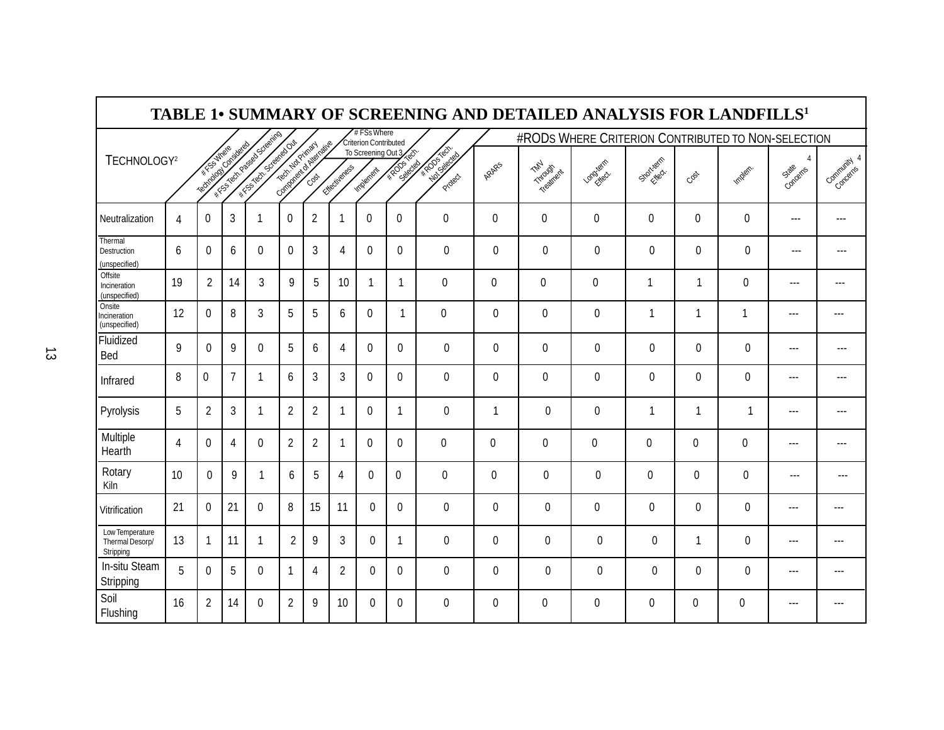|                                                 |                |                       |                |                                                   |                |                          |                |                                    |                                                                                                                       | TABLE 1• SUMMARY OF SCREENING AND DETAILED ANALYSIS FOR LANDFILLS <sup>1</sup> |              |                                               |                                                    |              |              |                 |                   |                |
|-------------------------------------------------|----------------|-----------------------|----------------|---------------------------------------------------|----------------|--------------------------|----------------|------------------------------------|-----------------------------------------------------------------------------------------------------------------------|--------------------------------------------------------------------------------|--------------|-----------------------------------------------|----------------------------------------------------|--------------|--------------|-----------------|-------------------|----------------|
|                                                 |                |                       |                |                                                   |                |                          |                | #FSsWhere<br>Criterion Contributed |                                                                                                                       |                                                                                |              |                                               | #RODS WHERE CRITERION CONTRIBUTED TO NON-SELECTION |              |              |                 |                   |                |
| TECHNOLOGY <sup>2</sup>                         |                | Top control of cheese |                | I Artists Republications<br><b>FISCOLE STREET</b> |                | Company of or Medication | Ettectiverees  | To Screening Out 3<br>Implement    | <b>Constitution Constitution Constitution Constitution Constitution Constitution Constitution Constitution Consti</b> | <b>ARCHITECTS</b><br>Protect                                                   | ARARS        | $\mathscr{L}_{\mathscr{U}_{7}}$<br>Trioutlant | Lagriga-                                           | Stortiers 1  | Cost         | <b>Implain.</b> | 4<br>Concerns     | Contribution 4 |
| Neutralization                                  | 4              | $\mathbf{0}$          | 3              | 1                                                 | 0              | $\overline{2}$           |                | 0                                  | $\mathbf{0}$                                                                                                          | $\mathbf{0}$                                                                   | $\mathbf{0}$ | 0                                             | $\mathbf{0}$                                       | 0            | $\mathbf{0}$ | $\mathbf{0}$    | ---               | ---            |
| Thermal<br>Destruction<br>(unspecified)         | 6              | $\Omega$              | 6              | $\Omega$                                          | $\Omega$       | 3                        | 4              | $\Omega$                           | $\Omega$                                                                                                              | $\Omega$                                                                       | $\Omega$     | $\Omega$                                      | $\mathbf{0}$                                       | $\Omega$     | $\Omega$     | $\Omega$        | $---$             |                |
| Offsite<br>Incineration<br>(unspecified)        | 19             | $\overline{2}$        | 14             | 3                                                 | 9              | 5                        | 10             | $\mathbf{1}$                       | 1                                                                                                                     | $\mathbf 0$                                                                    | $\mathbf{0}$ | $\mathbf 0$                                   | 0                                                  | $\mathbf{1}$ | 1            | 0               | $---$             | ---            |
| Onsite<br>Incineration<br>(unspecified)         | 12             | $\mathbf{0}$          | 8              | $\mathfrak{Z}$                                    | 5              | 5                        | 6              | $\mathbf{0}$                       | -1                                                                                                                    | $\mathbf 0$                                                                    | 0            | $\pmb{0}$                                     | $\mathbf 0$                                        | $\mathbf{1}$ | 1            | $\mathbf{1}$    | $---$             | $--$           |
| Fluidized<br>Bed                                | 9              | $\Omega$              | 9              | $\Omega$                                          | 5              | 6                        | 4              | $\Omega$                           | $\Omega$                                                                                                              | $\Omega$                                                                       | $\Omega$     | $\mathbf{0}$                                  | $\mathbf{0}$                                       | $\Omega$     | $\Omega$     | $\Omega$        | $---$             | ---            |
| Infrared                                        | 8              | 0                     | $\overline{7}$ | 1                                                 | 6              | 3                        | 3              | $\mathbf{0}$                       | $\mathbf{0}$                                                                                                          | $\Omega$                                                                       | 0            | 0                                             | 0                                                  | $\mathbf{0}$ | $\mathbf{0}$ | $\mathbf{0}$    | $\cdots$          | ---            |
| Pyrolysis                                       | 5              | $\overline{2}$        | 3              | 1                                                 | $\overline{2}$ | $\overline{2}$           | 1              | $\mathbf{0}$                       | -1                                                                                                                    | $\Omega$                                                                       | 1            | $\mathbf{0}$                                  | 0                                                  | 1            | 1            | $\mathbf 1$     | $\cdots$          | ---            |
| Multiple<br>Hearth                              | $\overline{4}$ | $\mathbf 0$           | 4              | $\Omega$                                          | $\overline{2}$ | $\overline{2}$           | 1              | $\Omega$                           | $\Omega$                                                                                                              | $\Omega$                                                                       | 0            | $\mathbf{0}$                                  | $\mathbf{0}$                                       | $\mathbf{0}$ | $\mathbf 0$  | $\mathbf 0$     | $---$             | ---            |
| Rotary<br><b>Kiln</b>                           | 10             | $\Omega$              | 9              | 1                                                 | 6              | 5                        | 4              | $\mathbf{0}$                       | $\mathbf{0}$                                                                                                          | $\mathbf{0}$                                                                   | $\mathbf{0}$ | $\mathbf{0}$                                  | 0                                                  | 0            | $\Omega$     | 0               | $\qquad \qquad -$ | ---            |
| Vitrification                                   | 21             | $\mathbf 0$           | 21             | $\mathbf{0}$                                      | 8              | 15                       | 11             | $\mathbf{0}$                       | $\mathbf{0}$                                                                                                          | $\mathbf 0$                                                                    | 0            | 0                                             | 0                                                  | $\mathbf 0$  | $\mathbf{0}$ | $\mathbf 0$     | $- - -$           |                |
| Low Temperature<br>Thermal Desorp/<br>Stripping | 13             | $\mathbf{1}$          | 11             | $\overline{1}$                                    | $\overline{2}$ | 9                        | 3              | $\Omega$                           | 1                                                                                                                     | $\Omega$                                                                       | $\Omega$     | $\Omega$                                      | 0                                                  | $\Omega$     | 1            | $\Omega$        | $---$             |                |
| In-situ Steam<br>Stripping                      | 5              | $\Omega$              | 5              | $\Omega$                                          | 1              | 4                        | $\overline{2}$ | 0                                  | $\Omega$                                                                                                              | $\Omega$                                                                       | 0            | $\Omega$                                      | $\mathbf{0}$                                       | $\Omega$     | $\Omega$     | $\mathbf{0}$    | $---$             | ---            |
| Soil<br>Flushing                                | 16             | $\overline{2}$        | 14             | $\mathbf{0}$                                      | 2              | 9                        | 10             | 0                                  | $\Omega$                                                                                                              | $\Omega$                                                                       | 0            | $\mathbf{0}$                                  | 0                                                  | $\mathbf{0}$ | $\Omega$     | $\mathbf{0}$    | $---$             |                |

F